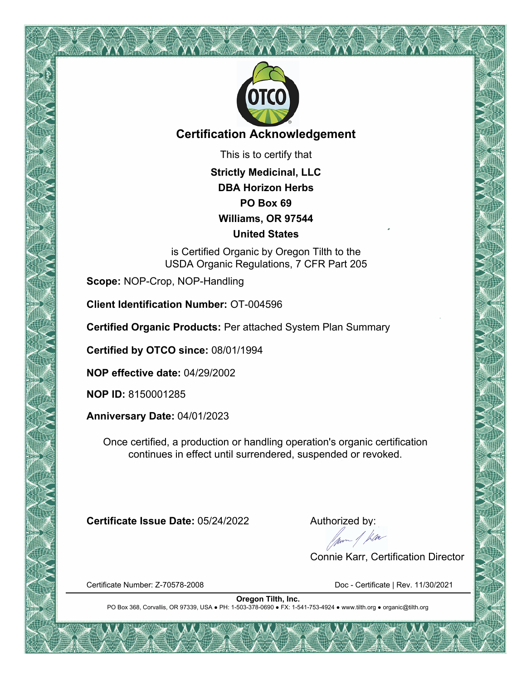

## **Certification Acknowledgement**

This is to certify that

**Strictly Medicinal, LLC DBA Horizon Herbs PO Box 69 Williams, OR 97544 United States**

is Certified Organic by Oregon Tilth to the USDA Organic Regulations, 7 CFR Part 205

**Scope:** NOP-Crop, NOP-Handling

**Client Identification Number:** OT-004596

**Certified Organic Products:** Per attached System Plan Summary

**Certified by OTCO since:** 08/01/1994

**NOP effective date:** 04/29/2002

**NOP ID:** 8150001285

**Anniversary Date:** 04/01/2023

Once certified, a production or handling operation's organic certification continues in effect until surrendered, suspended or revoked.

**Certificate Issue Date:** 05/24/2022 Authorized by:<br>Authorized by:<br>Alternative data by:

Connie Karr, Certification Director

Certificate Number: Z-70578-2008 Doc - Certificate | Rev. 11/30/2021

**Oregon Tilth, Inc.** PO Box 368, Corvallis, OR 97339, USA ● PH: 1-503-378-0690 ● FX: 1-541-753-4924 ● www.tilth.org ● organic@tilth.org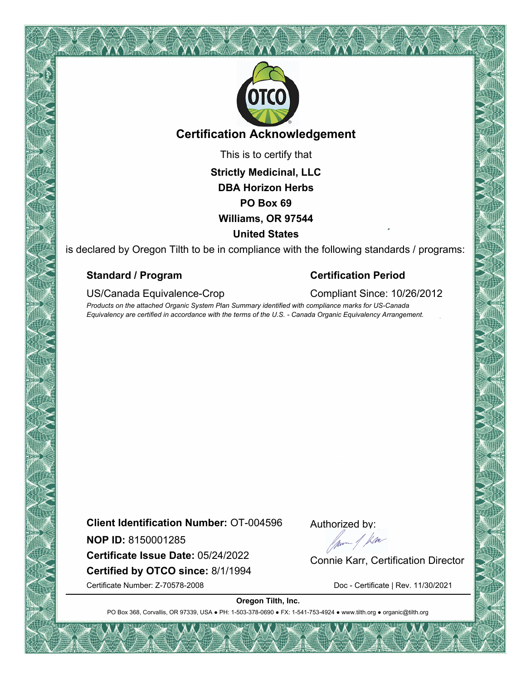

## **Certification Acknowledgement**

This is to certify that

**Strictly Medicinal, LLC DBA Horizon Herbs PO Box 69 Williams, OR 97544 United States**

is declared by Oregon Tilth to be in compliance with the following standards / programs:

### **Standard / Program Certification Period**

US/Canada Equivalence-Crop Compliant Since: 10/26/2012

*Products on the attached Organic System Plan Summary identified with compliance marks for US-Canada Equivalency are certified in accordance with the terms of the U.S. - Canada Organic Equivalency Arrangement.*

**Client Identification Number:** OT-004596

**NOP ID:** 8150001285

**Certified by OTCO since:** 8/1/1994 **NOP ID:** 8150001285<br> **Certificate Issue Date:** 05/24/2022 Connie Karr, Certification Director

Authorized by:

Certificate Number: Z-70578-2008 Doc - Certificate | Rev. 11/30/2021

**Oregon Tilth, Inc.**

PO Box 368, Corvallis, OR 97339, USA . PH: 1-503-378-0690 · FX: 1-541-753-4924 · www.tilth.org · organic@tilth.org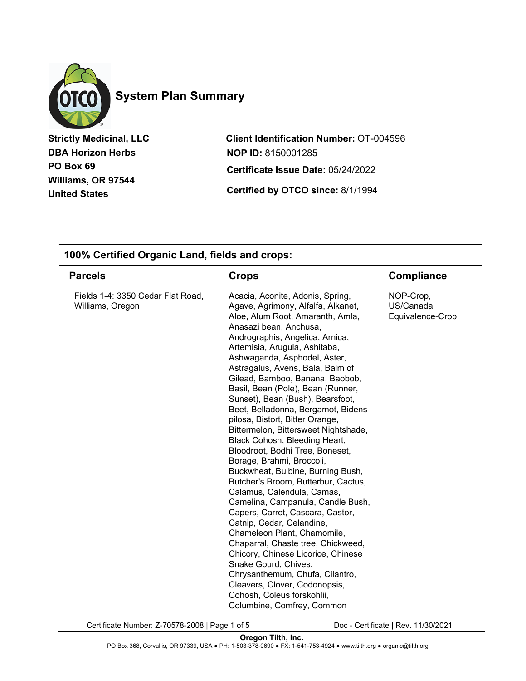

# **System Plan Summary**

**Strictly Medicinal, LLC DBA Horizon Herbs PO Box 69 Williams, OR 97544 United States**

**Client Identification Number:** OT-004596 **Certified by OTCO since:** 8/1/1994 **Certificate Issue Date:** 05/24/2022 **NOP ID:** 8150001285

#### **100% Certified Organic Land, fields and crops:**

| <b>Parcels</b>                                        | Crops                                                                                                                                                                                                                                                                                                                                                                                                                                                                                                                                                                                                                                                                                                                                                                                                                                                                                                                                                                                                                                                                                         | <b>Compliance</b>                          |
|-------------------------------------------------------|-----------------------------------------------------------------------------------------------------------------------------------------------------------------------------------------------------------------------------------------------------------------------------------------------------------------------------------------------------------------------------------------------------------------------------------------------------------------------------------------------------------------------------------------------------------------------------------------------------------------------------------------------------------------------------------------------------------------------------------------------------------------------------------------------------------------------------------------------------------------------------------------------------------------------------------------------------------------------------------------------------------------------------------------------------------------------------------------------|--------------------------------------------|
| Fields 1-4: 3350 Cedar Flat Road,<br>Williams, Oregon | Acacia, Aconite, Adonis, Spring,<br>Agave, Agrimony, Alfalfa, Alkanet,<br>Aloe, Alum Root, Amaranth, Amla,<br>Anasazi bean, Anchusa,<br>Andrographis, Angelica, Arnica,<br>Artemisia, Arugula, Ashitaba,<br>Ashwaganda, Asphodel, Aster,<br>Astragalus, Avens, Bala, Balm of<br>Gilead, Bamboo, Banana, Baobob,<br>Basil, Bean (Pole), Bean (Runner,<br>Sunset), Bean (Bush), Bearsfoot,<br>Beet, Belladonna, Bergamot, Bidens<br>pilosa, Bistort, Bitter Orange,<br>Bittermelon, Bittersweet Nightshade,<br>Black Cohosh, Bleeding Heart,<br>Bloodroot, Bodhi Tree, Boneset,<br>Borage, Brahmi, Broccoli,<br>Buckwheat, Bulbine, Burning Bush,<br>Butcher's Broom, Butterbur, Cactus,<br>Calamus, Calendula, Camas,<br>Camelina, Campanula, Candle Bush,<br>Capers, Carrot, Cascara, Castor,<br>Catnip, Cedar, Celandine,<br>Chameleon Plant, Chamomile,<br>Chaparral, Chaste tree, Chickweed,<br>Chicory, Chinese Licorice, Chinese<br>Snake Gourd, Chives,<br>Chrysanthemum, Chufa, Cilantro,<br>Cleavers, Clover, Codonopsis,<br>Cohosh, Coleus forskohlii,<br>Columbine, Comfrey, Common | NOP-Crop,<br>US/Canada<br>Equivalence-Crop |

Certificate Number: Z-70578-2008 | Page 1 of 5 Doc - Certificate | Rev. 11/30/2021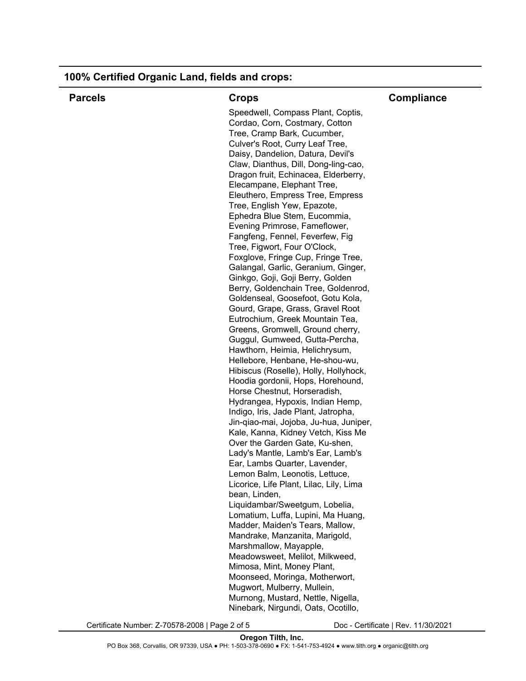| <b>Parcels</b> | <b>Crops</b>                                                              | <b>Compliance</b> |
|----------------|---------------------------------------------------------------------------|-------------------|
|                | Speedwell, Compass Plant, Coptis,                                         |                   |
|                | Cordao, Corn, Costmary, Cotton                                            |                   |
|                | Tree, Cramp Bark, Cucumber,                                               |                   |
|                | Culver's Root, Curry Leaf Tree,                                           |                   |
|                | Daisy, Dandelion, Datura, Devil's                                         |                   |
|                | Claw, Dianthus, Dill, Dong-ling-cao,                                      |                   |
|                | Dragon fruit, Echinacea, Elderberry,                                      |                   |
|                | Elecampane, Elephant Tree,                                                |                   |
|                | Eleuthero, Empress Tree, Empress                                          |                   |
|                | Tree, English Yew, Epazote,                                               |                   |
|                | Ephedra Blue Stem, Eucommia,                                              |                   |
|                | Evening Primrose, Fameflower,                                             |                   |
|                | Fangfeng, Fennel, Feverfew, Fig                                           |                   |
|                | Tree, Figwort, Four O'Clock,                                              |                   |
|                | Foxglove, Fringe Cup, Fringe Tree,                                        |                   |
|                | Galangal, Garlic, Geranium, Ginger,                                       |                   |
|                | Ginkgo, Goji, Goji Berry, Golden<br>Berry, Goldenchain Tree, Goldenrod,   |                   |
|                | Goldenseal, Goosefoot, Gotu Kola,                                         |                   |
|                | Gourd, Grape, Grass, Gravel Root                                          |                   |
|                | Eutrochium, Greek Mountain Tea,                                           |                   |
|                | Greens, Gromwell, Ground cherry,                                          |                   |
|                | Guggul, Gumweed, Gutta-Percha,                                            |                   |
|                | Hawthorn, Heimia, Helichrysum,                                            |                   |
|                | Hellebore, Henbane, He-shou-wu,                                           |                   |
|                | Hibiscus (Roselle), Holly, Hollyhock,                                     |                   |
|                | Hoodia gordonii, Hops, Horehound,                                         |                   |
|                | Horse Chestnut, Horseradish,                                              |                   |
|                | Hydrangea, Hypoxis, Indian Hemp,                                          |                   |
|                | Indigo, Iris, Jade Plant, Jatropha,                                       |                   |
|                | Jin-qiao-mai, Jojoba, Ju-hua, Juniper,                                    |                   |
|                | Kale, Kanna, Kidney Vetch, Kiss Me                                        |                   |
|                | Over the Garden Gate, Ku-shen,                                            |                   |
|                | Lady's Mantle, Lamb's Ear, Lamb's                                         |                   |
|                | Ear, Lambs Quarter, Lavender,                                             |                   |
|                | Lemon Balm, Leonotis, Lettuce,                                            |                   |
|                | Licorice, Life Plant, Lilac, Lily, Lima                                   |                   |
|                | bean, Linden,                                                             |                   |
|                | Liquidambar/Sweetgum, Lobelia,                                            |                   |
|                | Lomatium, Luffa, Lupini, Ma Huang,                                        |                   |
|                | Madder, Maiden's Tears, Mallow,                                           |                   |
|                | Mandrake, Manzanita, Marigold,                                            |                   |
|                | Marshmallow, Mayapple,                                                    |                   |
|                | Meadowsweet, Melilot, Milkweed,                                           |                   |
|                | Mimosa, Mint, Money Plant,                                                |                   |
|                | Moonseed, Moringa, Motherwort,                                            |                   |
|                | Mugwort, Mulberry, Mullein,                                               |                   |
|                |                                                                           |                   |
|                | Murnong, Mustard, Nettle, Nigella,<br>Ninebark, Nirgundi, Oats, Ocotillo, |                   |

| 100% Certified Organic Land, fields and crops: |  |  |  |  |  |  |  |
|------------------------------------------------|--|--|--|--|--|--|--|
|------------------------------------------------|--|--|--|--|--|--|--|

Certificate Number: Z-70578-2008 | Page 2 of 5 Doc - Certificate | Rev. 11/30/2021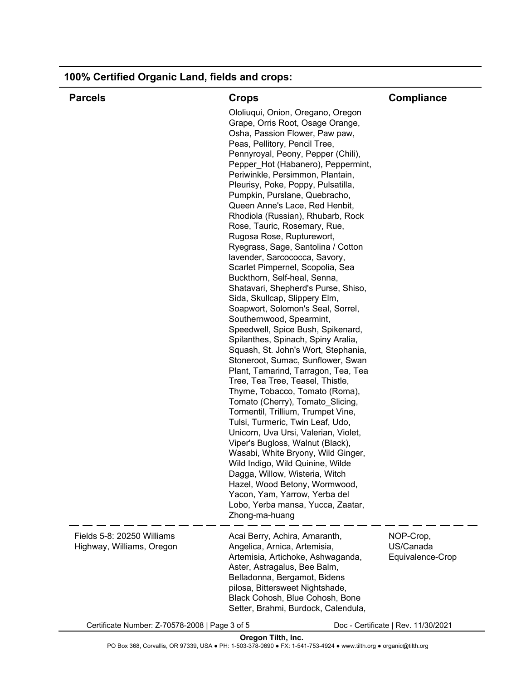| <b>Parcels</b>                                          | <b>Crops</b>                                                                                                                                                                                                                                                                                                                                                                                                                                                                                                                                                                                                                                                                                                                                                                                                                                                                                                                                                                                                                                                                                                                                                                                                                                                                                                                                                                                                                                               | Compliance                                 |
|---------------------------------------------------------|------------------------------------------------------------------------------------------------------------------------------------------------------------------------------------------------------------------------------------------------------------------------------------------------------------------------------------------------------------------------------------------------------------------------------------------------------------------------------------------------------------------------------------------------------------------------------------------------------------------------------------------------------------------------------------------------------------------------------------------------------------------------------------------------------------------------------------------------------------------------------------------------------------------------------------------------------------------------------------------------------------------------------------------------------------------------------------------------------------------------------------------------------------------------------------------------------------------------------------------------------------------------------------------------------------------------------------------------------------------------------------------------------------------------------------------------------------|--------------------------------------------|
|                                                         | Ololiuqui, Onion, Oregano, Oregon<br>Grape, Orris Root, Osage Orange,<br>Osha, Passion Flower, Paw paw,<br>Peas, Pellitory, Pencil Tree,<br>Pennyroyal, Peony, Pepper (Chili),<br>Pepper_Hot (Habanero), Peppermint,<br>Periwinkle, Persimmon, Plantain,<br>Pleurisy, Poke, Poppy, Pulsatilla,<br>Pumpkin, Purslane, Quebracho,<br>Queen Anne's Lace, Red Henbit,<br>Rhodiola (Russian), Rhubarb, Rock<br>Rose, Tauric, Rosemary, Rue,<br>Rugosa Rose, Rupturewort,<br>Ryegrass, Sage, Santolina / Cotton<br>lavender, Sarcococca, Savory,<br>Scarlet Pimpernel, Scopolia, Sea<br>Buckthorn, Self-heal, Senna,<br>Shatavari, Shepherd's Purse, Shiso,<br>Sida, Skullcap, Slippery Elm,<br>Soapwort, Solomon's Seal, Sorrel,<br>Southernwood, Spearmint,<br>Speedwell, Spice Bush, Spikenard,<br>Spilanthes, Spinach, Spiny Aralia,<br>Squash, St. John's Wort, Stephania,<br>Stoneroot, Sumac, Sunflower, Swan<br>Plant, Tamarind, Tarragon, Tea, Tea<br>Tree, Tea Tree, Teasel, Thistle,<br>Thyme, Tobacco, Tomato (Roma),<br>Tomato (Cherry), Tomato_Slicing,<br>Tormentil, Trillium, Trumpet Vine,<br>Tulsi, Turmeric, Twin Leaf, Udo,<br>Unicorn, Uva Ursi, Valerian, Violet,<br>Viper's Bugloss, Walnut (Black),<br>Wasabi, White Bryony, Wild Ginger,<br>Wild Indigo, Wild Quinine, Wilde<br>Dagga, Willow, Wisteria, Witch<br>Hazel, Wood Betony, Wormwood,<br>Yacon, Yam, Yarrow, Yerba del<br>Lobo, Yerba mansa, Yucca, Zaatar,<br>Zhong-ma-huang |                                            |
| Fields 5-8: 20250 Williams<br>Highway, Williams, Oregon | Acai Berry, Achira, Amaranth,<br>Angelica, Arnica, Artemisia,<br>Artemisia, Artichoke, Ashwaganda,<br>Aster, Astragalus, Bee Balm,<br>Belladonna, Bergamot, Bidens<br>pilosa, Bittersweet Nightshade,<br>Black Cohosh, Blue Cohosh, Bone<br>Setter, Brahmi, Burdock, Calendula,                                                                                                                                                                                                                                                                                                                                                                                                                                                                                                                                                                                                                                                                                                                                                                                                                                                                                                                                                                                                                                                                                                                                                                            | NOP-Crop,<br>US/Canada<br>Equivalence-Crop |

Certificate Number: Z-70578-2008 | Page 3 of 5 Doc - Certificate | Rev. 11/30/2021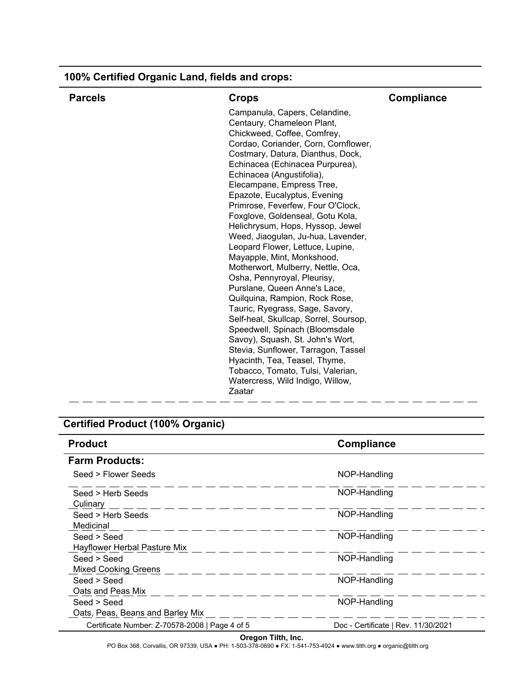| <b>Parcels</b> | <b>Crops</b>                                                            | Compliance |
|----------------|-------------------------------------------------------------------------|------------|
|                | Campanula, Capers, Celandine,                                           |            |
|                | Centaury, Chameleon Plant,                                              |            |
|                | Chickweed, Coffee, Comfrey,                                             |            |
|                | Cordao, Coriander, Corn, Cornflower,                                    |            |
|                | Costmary, Datura, Dianthus, Dock,                                       |            |
|                | Echinacea (Echinacea Purpurea),                                         |            |
|                | Echinacea (Angustifolia),                                               |            |
|                | Elecampane, Empress Tree,                                               |            |
|                | Epazote, Eucalyptus, Evening                                            |            |
|                | Primrose, Feverfew, Four O'Clock,                                       |            |
|                | Foxglove, Goldenseal, Gotu Kola,                                        |            |
|                | Helichrysum, Hops, Hyssop, Jewel                                        |            |
|                | Weed, Jiaogulan, Ju-hua, Lavender,                                      |            |
|                | Leopard Flower, Lettuce, Lupine,                                        |            |
|                | Mayapple, Mint, Monkshood,                                              |            |
|                | Motherwort, Mulberry, Nettle, Oca,                                      |            |
|                | Osha, Pennyroyal, Pleurisy,                                             |            |
|                | Purslane, Queen Anne's Lace,                                            |            |
|                | Quilquina, Rampion, Rock Rose,                                          |            |
|                | Tauric, Ryegrass, Sage, Savory,                                         |            |
|                | Self-heal, Skullcap, Sorrel, Soursop,                                   |            |
|                | Speedwell, Spinach (Bloomsdale                                          |            |
|                | Savoy), Squash, St. John's Wort,<br>Stevia, Sunflower, Tarragon, Tassel |            |
|                | Hyacinth, Tea, Teasel, Thyme,                                           |            |
|                | Tobacco, Tomato, Tulsi, Valerian,                                       |            |
|                | Watercress, Wild Indigo, Willow,                                        |            |
|                | Zaatar                                                                  |            |
|                |                                                                         |            |

# **Certified Product (100% Organic)**

| <b>Product</b>                                  | <b>Compliance</b>                   |
|-------------------------------------------------|-------------------------------------|
| <b>Farm Products:</b>                           |                                     |
| Seed > Flower Seeds                             | NOP-Handling                        |
| Seed > Herb Seeds<br>Culinary                   | NOP-Handling                        |
| Seed > Herb Seeds<br>Medicinal                  | NOP-Handling                        |
| Seed > Seed<br>Hayflower Herbal Pasture Mix     | NOP-Handling                        |
| Seed > Seed<br><b>Mixed Cooking Greens</b>      | NOP-Handling                        |
| Seed > Seed<br>Oats and Peas Mix                | NOP-Handling                        |
| Seed > Seed<br>Oats, Peas, Beans and Barley Mix | NOP-Handling                        |
| Certificate Number: Z-70578-2008   Page 4 of 5  | Doc - Certificate   Rev. 11/30/2021 |

### **100% Certified Organic Land, fields and crops:**